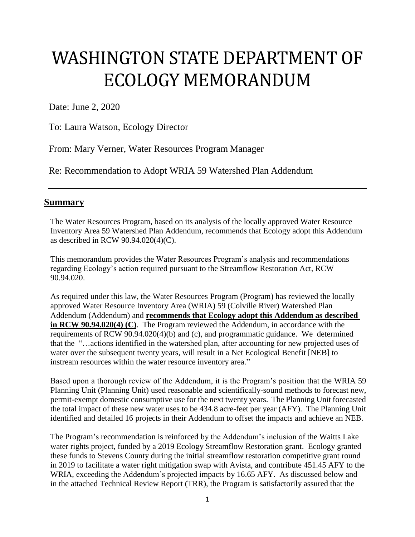# WASHINGTON STATE DEPARTMENT OF ECOLOGY MEMORANDUM

Date: June 2, 2020

To: Laura Watson, Ecology Director

From: Mary Verner, Water Resources Program Manager

Re: Recommendation to Adopt WRIA 59 Watershed Plan Addendum

#### **Summary**

The Water Resources Program, based on its analysis of the locally approved Water Resource Inventory Area 59 Watershed Plan Addendum, recommends that Ecology adopt this Addendum as described in RCW 90.94.020(4)(C).

This memorandum provides the Water Resources Program's analysis and recommendations regarding Ecology's action required pursuant to the Streamflow Restoration Act, RCW 90.94.020.

As required under this law, the Water Resources Program (Program) has reviewed the locally approved Water Resource Inventory Area (WRIA) 59 (Colville River) Watershed Plan Addendum (Addendum) and **recommends that Ecology adopt this Addendum as described in RCW 90.94.020(4) (C)**. The Program reviewed the Addendum, in accordance with the requirements of RCW 90.94.020(4)(b) and (c), and programmatic guidance. We determined that the "…actions identified in the watershed plan, after accounting for new projected uses of water over the subsequent twenty years, will result in a Net Ecological Benefit [NEB] to instream resources within the water resource inventory area."

Based upon a thorough review of the Addendum, it is the Program's position that the WRIA 59 Planning Unit (Planning Unit) used reasonable and scientifically-sound methods to forecast new, permit-exempt domestic consumptive use for the next twenty years. The Planning Unit forecasted the total impact of these new water uses to be 434.8 acre-feet per year (AFY). The Planning Unit identified and detailed 16 projects in their Addendum to offset the impacts and achieve an NEB.

The Program's recommendation is reinforced by the Addendum's inclusion of the Waitts Lake water rights project, funded by a 2019 Ecology Streamflow Restoration grant. Ecology granted these funds to Stevens County during the initial streamflow restoration competitive grant round in 2019 to facilitate a water right mitigation swap with Avista, and contribute 451.45 AFY to the WRIA, exceeding the Addendum's projected impacts by 16.65 AFY. As discussed below and in the attached Technical Review Report (TRR), the Program is satisfactorily assured that the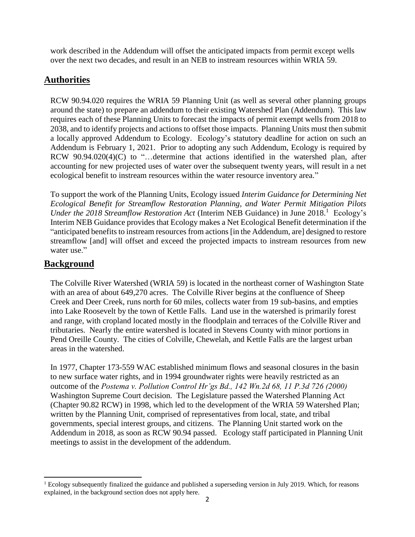work described in the Addendum will offset the anticipated impacts from permit except wells over the next two decades, and result in an NEB to instream resources within WRIA 59.

## **Authorities**

RCW 90.94.020 requires the WRIA 59 Planning Unit (as well as several other planning groups around the state) to prepare an addendum to their existing Watershed Plan (Addendum). This law requires each of these Planning Units to forecast the impacts of permit exempt wells from 2018 to 2038, and to identify projects and actions to offset those impacts. Planning Units must then submit a locally approved Addendum to Ecology. Ecology's statutory deadline for action on such an Addendum is February 1, 2021. Prior to adopting any such Addendum, Ecology is required by RCW 90.94.020(4)(C) to "...determine that actions identified in the watershed plan, after accounting for new projected uses of water over the subsequent twenty years, will result in a net ecological benefit to instream resources within the water resource inventory area."

To support the work of the Planning Units, Ecology issued *Interim Guidance for Determining Net Ecological Benefit for Streamflow Restoration Planning, and Water Permit Mitigation Pilots*  Under the 2018 Streamflow Restoration Act (Interim NEB Guidance) in June 2018.<sup>1</sup> Ecology's Interim NEB Guidance provides that Ecology makes a Net Ecological Benefit determination if the "anticipated benefits to instream resources from actions [in the Addendum, are] designed to restore streamflow [and] will offset and exceed the projected impacts to instream resources from new water use."

### **Background**

The Colville River Watershed (WRIA 59) is located in the northeast corner of Washington State with an area of about 649,270 acres. The Colville River begins at the confluence of Sheep Creek and Deer Creek, runs north for 60 miles, collects water from 19 sub-basins, and empties into Lake Roosevelt by the town of Kettle Falls. Land use in the watershed is primarily forest and range, with cropland located mostly in the floodplain and terraces of the Colville River and tributaries. Nearly the entire watershed is located in Stevens County with minor portions in Pend Oreille County. The cities of Colville, Chewelah, and Kettle Falls are the largest urban areas in the watershed.

In 1977, Chapter 173-559 WAC established minimum flows and seasonal closures in the basin to new surface water rights, and in 1994 groundwater rights were heavily restricted as an outcome of the *Postema v. Pollution Control Hr'gs Bd., 142 Wn.2d 68, 11 P.3d 726 (2000)* Washington Supreme Court decision*.* The Legislature passed the Watershed Planning Act (Chapter 90.82 RCW) in 1998, which led to the development of the WRIA 59 Watershed Plan; written by the Planning Unit, comprised of representatives from local, state, and tribal governments, special interest groups, and citizens. The Planning Unit started work on the Addendum in 2018, as soon as RCW 90.94 passed. Ecology staff participated in Planning Unit meetings to assist in the development of the addendum.

l <sup>1</sup> Ecology subsequently finalized the guidance and published a superseding version in July 2019. Which, for reasons explained, in the background section does not apply here.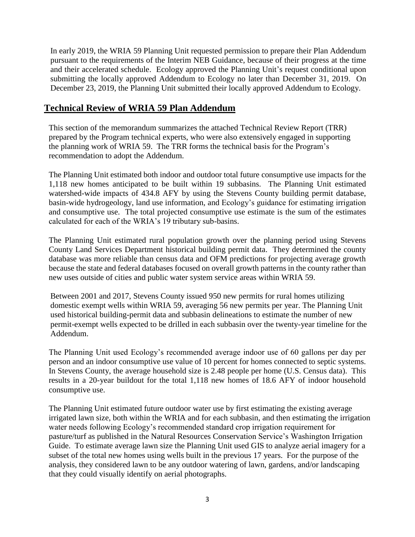In early 2019, the WRIA 59 Planning Unit requested permission to prepare their Plan Addendum pursuant to the requirements of the Interim NEB Guidance, because of their progress at the time and their accelerated schedule. Ecology approved the Planning Unit's request conditional upon submitting the locally approved Addendum to Ecology no later than December 31, 2019. On December 23, 2019, the Planning Unit submitted their locally approved Addendum to Ecology.

#### **Technical Review of WRIA 59 Plan Addendum**

This section of the memorandum summarizes the attached Technical Review Report (TRR) prepared by the Program technical experts, who were also extensively engaged in supporting the planning work of WRIA 59. The TRR forms the technical basis for the Program's recommendation to adopt the Addendum.

The Planning Unit estimated both indoor and outdoor total future consumptive use impacts for the 1,118 new homes anticipated to be built within 19 subbasins. The Planning Unit estimated watershed-wide impacts of 434.8 AFY by using the Stevens County building permit database, basin-wide hydrogeology, land use information, and Ecology's guidance for estimating irrigation and consumptive use. The total projected consumptive use estimate is the sum of the estimates calculated for each of the WRIA's 19 tributary sub-basins.

The Planning Unit estimated rural population growth over the planning period using Stevens County Land Services Department historical building permit data. They determined the county database was more reliable than census data and OFM predictions for projecting average growth because the state and federal databases focused on overall growth patterns in the county rather than new uses outside of cities and public water system service areas within WRIA 59.

Between 2001 and 2017, Stevens County issued 950 new permits for rural homes utilizing domestic exempt wells within WRIA 59, averaging 56 new permits per year. The Planning Unit used historical building-permit data and subbasin delineations to estimate the number of new permit-exempt wells expected to be drilled in each subbasin over the twenty-year timeline for the Addendum.

The Planning Unit used Ecology's recommended average indoor use of 60 gallons per day per person and an indoor consumptive use value of 10 percent for homes connected to septic systems. In Stevens County, the average household size is 2.48 people per home (U.S. Census data). This results in a 20-year buildout for the total 1,118 new homes of 18.6 AFY of indoor household consumptive use.

The Planning Unit estimated future outdoor water use by first estimating the existing average irrigated lawn size, both within the WRIA and for each subbasin, and then estimating the irrigation water needs following Ecology's recommended standard crop irrigation requirement for pasture/turf as published in the Natural Resources Conservation Service's Washington Irrigation Guide. To estimate average lawn size the Planning Unit used GIS to analyze aerial imagery for a subset of the total new homes using wells built in the previous 17 years. For the purpose of the analysis, they considered lawn to be any outdoor watering of lawn, gardens, and/or landscaping that they could visually identify on aerial photographs.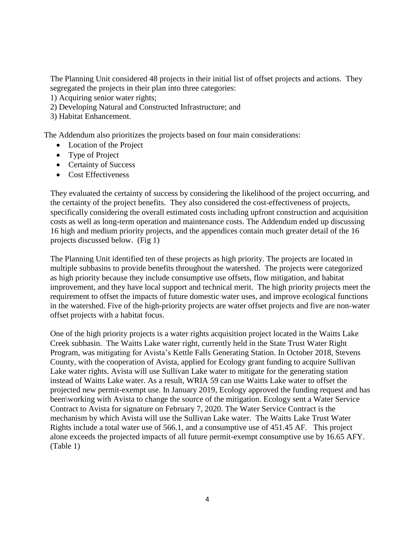The Planning Unit considered 48 projects in their initial list of offset projects and actions. They segregated the projects in their plan into three categories:

- 1) Acquiring senior water rights;
- 2) Developing Natural and Constructed Infrastructure; and
- 3) Habitat Enhancement.

The Addendum also prioritizes the projects based on four main considerations:

- Location of the Project
- Type of Project
- Certainty of Success
- Cost Effectiveness

They evaluated the certainty of success by considering the likelihood of the project occurring, and the certainty of the project benefits. They also considered the cost-effectiveness of projects, specifically considering the overall estimated costs including upfront construction and acquisition costs as well as long-term operation and maintenance costs. The Addendum ended up discussing 16 high and medium priority projects, and the appendices contain much greater detail of the 16 projects discussed below. (Fig 1)

The Planning Unit identified ten of these projects as high priority. The projects are located in multiple subbasins to provide benefits throughout the watershed. The projects were categorized as high priority because they include consumptive use offsets, flow mitigation, and habitat improvement, and they have local support and technical merit. The high priority projects meet the requirement to offset the impacts of future domestic water uses, and improve ecological functions in the watershed. Five of the high-priority projects are water offset projects and five are non-water offset projects with a habitat focus.

One of the high priority projects is a water rights acquisition project located in the Waitts Lake Creek subbasin. The Waitts Lake water right, currently held in the State Trust Water Right Program, was mitigating for Avista's Kettle Falls Generating Station. In October 2018, Stevens County, with the cooperation of Avista, applied for Ecology grant funding to acquire Sullivan Lake water rights. Avista will use Sullivan Lake water to mitigate for the generating station instead of Waitts Lake water. As a result, WRIA 59 can use Waitts Lake water to offset the projected new permit-exempt use. In January 2019, Ecology approved the funding request and has been\working with Avista to change the source of the mitigation. Ecology sent a Water Service Contract to Avista for signature on February 7, 2020. The Water Service Contract is the mechanism by which Avista will use the Sullivan Lake water. The Waitts Lake Trust Water Rights include a total water use of 566.1, and a consumptive use of 451.45 AF. This project alone exceeds the projected impacts of all future permit-exempt consumptive use by 16.65 AFY. (Table 1)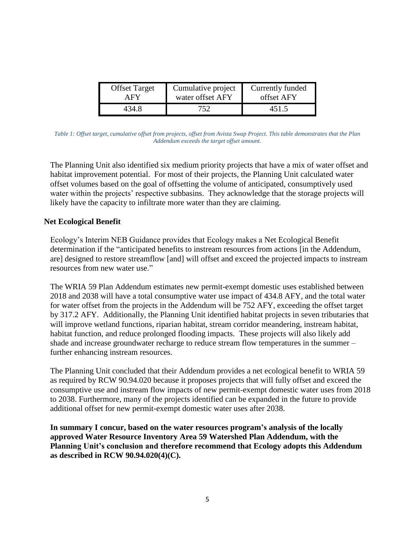| <b>Offset Target</b> | Cumulative project | Currently funded |
|----------------------|--------------------|------------------|
| A FY                 | water offset AFY   | offset AFY       |
| 434.8                | 752                | 451.5            |

*Table 1: Offset target, cumulative offset from projects, offset from Avista Swap Project. This table demonstrates that the Plan Addendum exceeds the target offset amount.* 

The Planning Unit also identified six medium priority projects that have a mix of water offset and habitat improvement potential. For most of their projects, the Planning Unit calculated water offset volumes based on the goal of offsetting the volume of anticipated, consumptively used water within the projects' respective subbasins. They acknowledge that the storage projects will likely have the capacity to infiltrate more water than they are claiming.

#### **Net Ecological Benefit**

Ecology's Interim NEB Guidance provides that Ecology makes a Net Ecological Benefit determination if the "anticipated benefits to instream resources from actions [in the Addendum, are] designed to restore streamflow [and] will offset and exceed the projected impacts to instream resources from new water use."

The WRIA 59 Plan Addendum estimates new permit-exempt domestic uses established between 2018 and 2038 will have a total consumptive water use impact of 434.8 AFY, and the total water for water offset from the projects in the Addendum will be 752 AFY, exceeding the offset target by 317.2 AFY. Additionally, the Planning Unit identified habitat projects in seven tributaries that will improve wetland functions, riparian habitat, stream corridor meandering, instream habitat, habitat function, and reduce prolonged flooding impacts. These projects will also likely add shade and increase groundwater recharge to reduce stream flow temperatures in the summer – further enhancing instream resources.

The Planning Unit concluded that their Addendum provides a net ecological benefit to WRIA 59 as required by RCW 90.94.020 because it proposes projects that will fully offset and exceed the consumptive use and instream flow impacts of new permit-exempt domestic water uses from 2018 to 2038. Furthermore, many of the projects identified can be expanded in the future to provide additional offset for new permit-exempt domestic water uses after 2038.

**In summary I concur, based on the water resources program's analysis of the locally approved Water Resource Inventory Area 59 Watershed Plan Addendum, with the Planning Unit's conclusion and therefore recommend that Ecology adopts this Addendum as described in RCW 90.94.020(4)(C).**